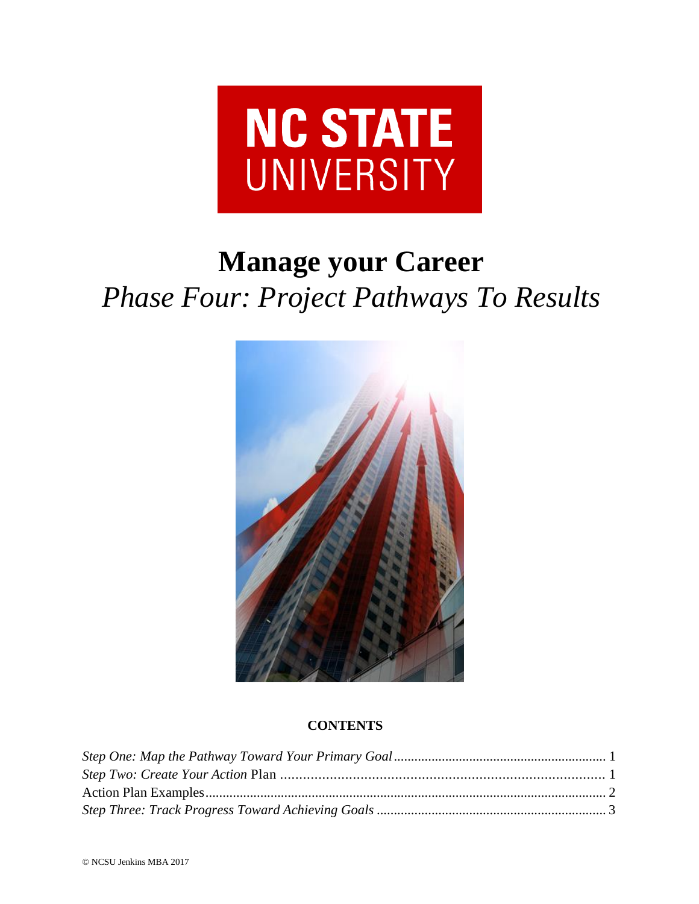

# **Manage your Career** *Phase Four: Project Pathways To Results*



# **CONTENTS**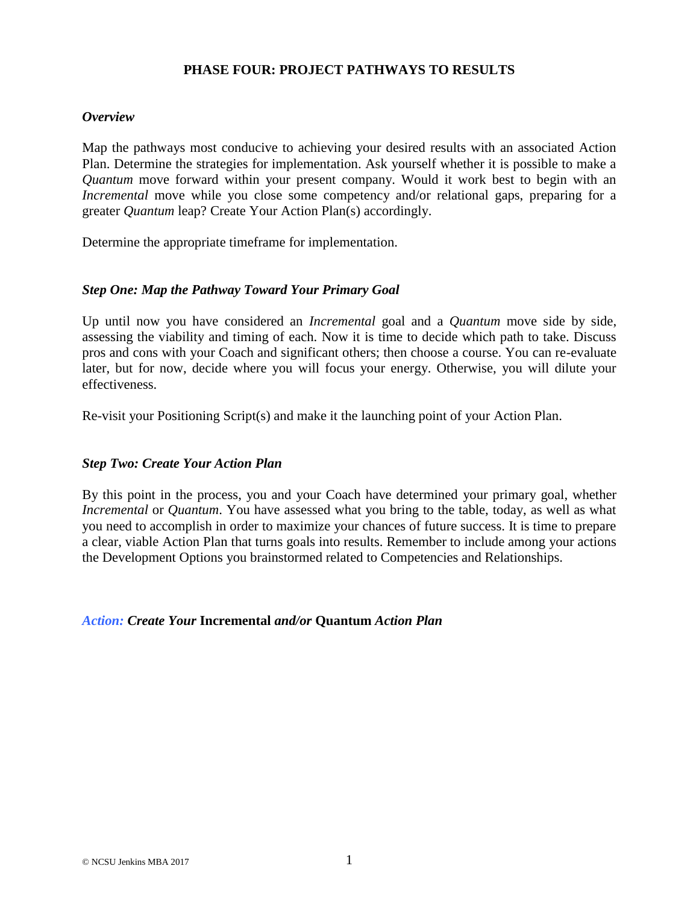# **PHASE FOUR: PROJECT PATHWAYS TO RESULTS**

#### *Overview*

Map the pathways most conducive to achieving your desired results with an associated Action Plan. Determine the strategies for implementation. Ask yourself whether it is possible to make a *Quantum* move forward within your present company. Would it work best to begin with an *Incremental* move while you close some competency and/or relational gaps, preparing for a greater *Quantum* leap? Create Your Action Plan(s) accordingly.

Determine the appropriate timeframe for implementation.

#### <span id="page-1-0"></span>*Step One: Map the Pathway Toward Your Primary Goal*

Up until now you have considered an *Incremental* goal and a *Quantum* move side by side, assessing the viability and timing of each. Now it is time to decide which path to take. Discuss pros and cons with your Coach and significant others; then choose a course. You can re-evaluate later, but for now, decide where you will focus your energy. Otherwise, you will dilute your effectiveness.

Re-visit your Positioning Script(s) and make it the launching point of your Action Plan.

## <span id="page-1-1"></span>*Step Two: Create Your Action Plan*

By this point in the process, you and your Coach have determined your primary goal, whether *Incremental* or *Quantum*. You have assessed what you bring to the table, today, as well as what you need to accomplish in order to maximize your chances of future success. It is time to prepare a clear, viable Action Plan that turns goals into results. Remember to include among your actions the Development Options you brainstormed related to Competencies and Relationships.

#### *Action: Create Your* **Incremental** *and/or* **Quantum** *Action Plan*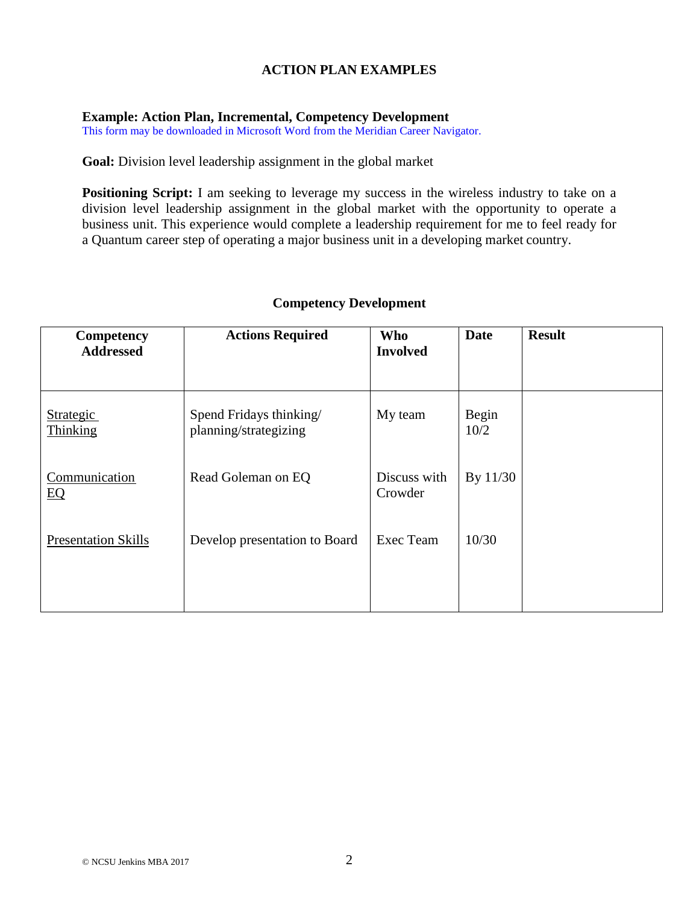# **ACTION PLAN EXAMPLES**

#### <span id="page-2-0"></span>**Example: Action Plan, Incremental, Competency Development**

This form may be downloaded in Microsoft Word from the Meridian Career Navigator.

**Goal:** Division level leadership assignment in the global market

**Positioning Script:** I am seeking to leverage my success in the wireless industry to take on a division level leadership assignment in the global market with the opportunity to operate a business unit. This experience would complete a leadership requirement for me to feel ready for a Quantum career step of operating a major business unit in a developing market country.

| Competency                 | <b>Actions Required</b>                          | <b>Who</b>              | <b>Date</b>   | <b>Result</b> |
|----------------------------|--------------------------------------------------|-------------------------|---------------|---------------|
| <b>Addressed</b>           |                                                  | <b>Involved</b>         |               |               |
|                            |                                                  |                         |               |               |
| Strategic<br>Thinking      | Spend Fridays thinking/<br>planning/strategizing | My team                 | Begin<br>10/2 |               |
| Communication<br>EQ        | Read Goleman on EQ                               | Discuss with<br>Crowder | By 11/30      |               |
| <b>Presentation Skills</b> | Develop presentation to Board                    | Exec Team               | 10/30         |               |
|                            |                                                  |                         |               |               |

## **Competency Development**